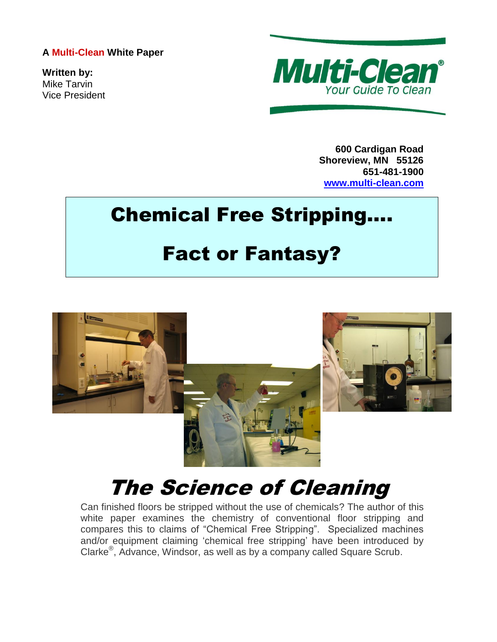## **A Multi-Clean White Paper**

**Written by:** Mike Tarvin Vice President



**600 Cardigan Road Shoreview, MN 55126 651-481-1900 [www.multi-clean.com](http://www.multi-clean.com/)**

## Chemical Free Stripping….

## Fact or Fantasy?



## The Science of Cleaning

Can finished floors be stripped without the use of chemicals? The author of this white paper examines the chemistry of conventional floor stripping and compares this to claims of "Chemical Free Stripping". Specialized machines and/or equipment claiming 'chemical free stripping' have been introduced by Clarke® , Advance, Windsor, as well as by a company called Square Scrub.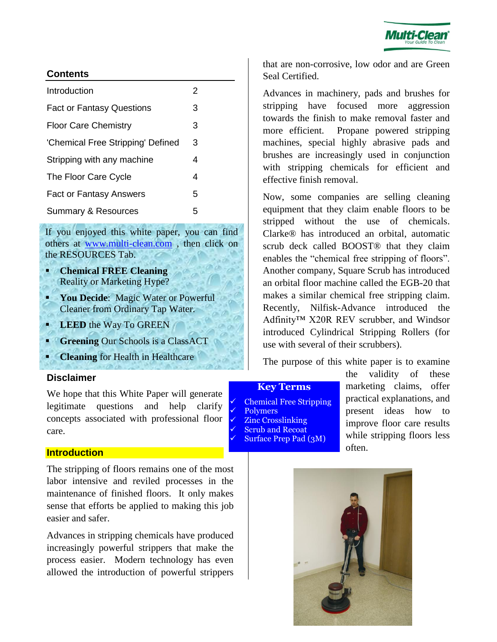

## **Contents**

| Introduction                      | 2 |
|-----------------------------------|---|
| <b>Fact or Fantasy Questions</b>  | 3 |
| <b>Floor Care Chemistry</b>       | 3 |
| 'Chemical Free Stripping' Defined | 3 |
| Stripping with any machine        | 4 |
| The Floor Care Cycle              | 4 |
| <b>Fact or Fantasy Answers</b>    | 5 |
| <b>Summary &amp; Resources</b>    | 5 |

If you enjoyed this white paper, you can find others at [www.multi-clean.com](http://www.multi-clean.com/) , then click on the RESOURCES Tab.

- **Chemical FREE Cleaning** Reality or Marketing Hype?
- <span id="page-1-0"></span> **You Decide**: Magic Water or Powerful Cleaner from Ordinary Tap Water.
- **LEED** the Way To GREEN
- **Greening** Our Schools is a ClassACT
- **Cleaning** for Health in Healthcare

#### **Disclaimer**

We hope that this White Paper will generate legitimate questions and help clarify concepts associated with professional floor care.

#### **Introduction**

The stripping of floors remains one of the most labor intensive and reviled processes in the maintenance of finished floors. It only makes sense that efforts be applied to making this job easier and safer.

Advances in stripping chemicals have produced increasingly powerful strippers that make the process easier. Modern technology has even allowed the introduction of powerful strippers

that are non-corrosive, low odor and are Green Seal Certified.

Advances in machinery, pads and brushes for stripping have focused more aggression towards the finish to make removal faster and more efficient. Propane powered stripping machines, special highly abrasive pads and brushes are increasingly used in conjunction with stripping chemicals for efficient and effective finish removal.

Now, some companies are selling cleaning equipment that they claim enable floors to be stripped without the use of chemicals. Clarke® has introduced an orbital, automatic scrub deck called BOOST® that they claim enables the "chemical free stripping of floors". Another company, Square Scrub has introduced an orbital floor machine called the EGB-20 that makes a similar chemical free stripping claim. Recently, Nilfisk-Advance introduced the Adfinity™ X20R REV scrubber, and Windsor introduced Cylindrical Stripping Rollers (for use with several of their scrubbers).

The purpose of this white paper is to examine

#### **Key Terms**

 Chemical Free Stripping Polymers Zinc Crosslinking Scrub and Recoat Surface Prep Pad (3M)

the validity of these marketing claims, offer practical explanations, and present ideas how to improve floor care results while stripping floors less often.

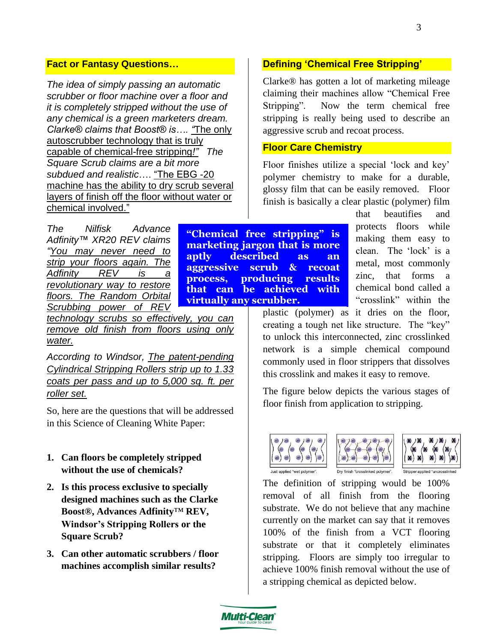## **Fact or Fantasy Questions…**

*The idea of simply passing an automatic scrubber or floor machine over a floor and it is completely stripped without the use of any chemical is a green marketers dream. Clarke® claims that Boost® is…. "*The only autoscrubber technology that is truly capable of chemical-free stripping*!" The Square Scrub claims are a bit more subdued and realistic*…. "The EBG -20 machine has the ability to dry scrub several layers of finish off the floor without water or chemical involved."

*The Nilfisk Advance Adfinity™ XR20 REV claims "You may never need to strip your floors again. The Adfinity REV is a revolutionary way to restore floors. The Random Orbital Scrubbing power of REV* 

*technology scrubs so effectively, you can remove old finish from floors using only water.* 

*According to Windsor, The patent-pending Cylindrical Stripping Rollers strip up to 1.33 coats per pass and up to 5,000 sq. ft. per roller set.*

So, here are the questions that will be addressed in this Science of Cleaning White Paper:

- **1. Can floors be completely stripped without the use of chemicals?**
- **2. Is this process exclusive to specially designed machines such as the Clarke Boost®, Advances Adfinity**™ **REV, Windsor's Stripping Rollers or the Square Scrub?**
- **3. Can other automatic scrubbers / floor machines accomplish similar results?**

**Defining 'Chemical Free Stripping'** 

Clarke® has gotten a lot of marketing mileage claiming their machines allow "Chemical Free Stripping". Now the term chemical free stripping is really being used to describe an aggressive scrub and recoat process.

#### **Floor Care Chemistry**

Floor finishes utilize a special 'lock and key' polymer chemistry to make for a durable, glossy film that can be easily removed. Floor finish is basically a clear plastic (polymer) film

**"Chemical free stripping" is marketing jargon that is more aptly described as an aggressive scrub & recoat process, producing results that can be achieved with virtually any scrubber.**

that beautifies and protects floors while making them easy to clean. The 'lock' is a metal, most commonly zinc, that forms a chemical bond called a "crosslink" within the

plastic (polymer) as it dries on the floor, creating a tough net like structure. The "key" to unlock this interconnected, zinc crosslinked network is a simple chemical compound commonly used in floor strippers that dissolves this crosslink and makes it easy to remove.

The figure below depicts the various stages of floor finish from application to stripping.







Stripper applied "uncro

The definition of stripping would be 100% removal of all finish from the flooring substrate. We do not believe that any machine currently on the market can say that it removes 100% of the finish from a VCT flooring substrate or that it completely eliminates stripping. Floors are simply too irregular to achieve 100% finish removal without the use of a stripping chemical as depicted below.

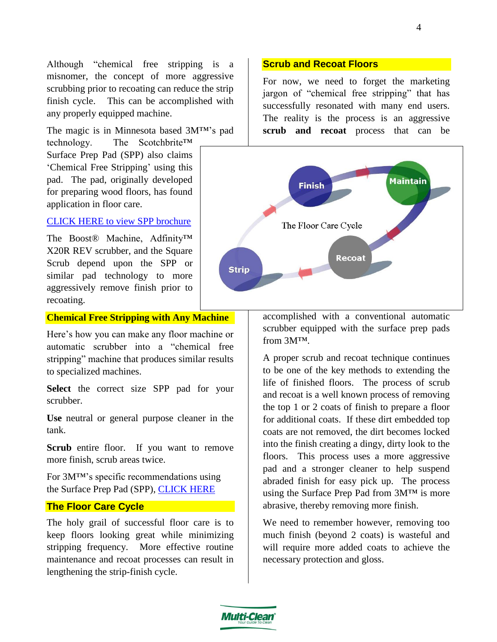Although "chemical free stripping is a misnomer, the concept of more aggressive scrubbing prior to recoating can reduce the strip finish cycle. This can be accomplished with any properly equipped machine.

The magic is in Minnesota based 3M™'s pad

technology. The Scotchbrite™ Surface Prep Pad (SPP) also claims 'Chemical Free Stripping' using this pad. The pad, originally developed for preparing wood floors, has found application in floor care.

#### [CLICK HERE to view SPP brochure](http://multimedia.3m.com/mws/mediawebserver?mwsId=SSSSSu7zK1fslxtUOx_Gl8_Zev7qe17zHvTSevTSeSSSSSS--)

The Boost® Machine, Adfinity™ X20R REV scrubber, and the Square Scrub depend upon the SPP or similar pad technology to more aggressively remove finish prior to recoating.

#### **Chemical Free Stripping with Any Machine**

Here's how you can make any floor machine or automatic scrubber into a "chemical free stripping" machine that produces similar results to specialized machines.

**Select** the correct size SPP pad for your scrubber.

**Use** neutral or general purpose cleaner in the tank.

Scrub entire floor. If you want to remove more finish, scrub areas twice.

For 3M™'s specific recommendations using the Surface Prep Pad (SPP), [CLICK HERE](http://multimedia.3m.com/mws/mediawebserver?mwsId=SSSSSu7zK1fslxtUnY_v58mxev7qe17zHvTSevTSeSSSSSS--)

#### **The Floor Care Cycle**

The holy grail of successful floor care is to keep floors looking great while minimizing stripping frequency. More effective routine maintenance and recoat processes can result in lengthening the strip-finish cycle.

#### **Scrub and Recoat Floors**

For now, we need to forget the marketing jargon of "chemical free stripping" that has successfully resonated with many end users. The reality is the process is an aggressive **scrub and recoat** process that can be



accomplished with a conventional automatic scrubber equipped with the surface prep pads from 3M™.

A proper scrub and recoat technique continues to be one of the key methods to extending the life of finished floors. The process of scrub and recoat is a well known process of removing the top 1 or 2 coats of finish to prepare a floor for additional coats. If these dirt embedded top coats are not removed, the dirt becomes locked into the finish creating a dingy, dirty look to the floors. This process uses a more aggressive pad and a stronger cleaner to help suspend abraded finish for easy pick up. The process using the Surface Prep Pad from 3M™ is more abrasive, thereby removing more finish.

We need to remember however, removing too much finish (beyond 2 coats) is wasteful and will require more added coats to achieve the necessary protection and gloss.